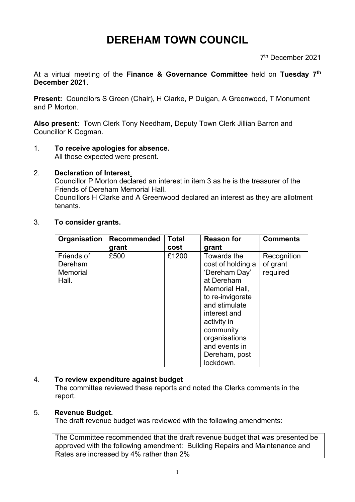## **DEREHAM TOWN COUNCIL**

7 th December 2021

At a virtual meeting of the **Finance & Governance Committee** held on **Tuesday 7 th December 2021.**

**Present:** Councilors S Green (Chair), H Clarke, P Duigan, A Greenwood, T Monument and P Morton.

**Also present:** Town Clerk Tony Needham**,** Deputy Town Clerk Jillian Barron and Councillor K Cogman.

- 1. **To receive apologies for absence.** All those expected were present.
- 2. **Declaration of Interest**.

Councillor P Morton declared an interest in item 3 as he is the treasurer of the Friends of Dereham Memorial Hall.

Councillors H Clarke and A Greenwood declared an interest as they are allotment tenants.

3. **To consider grants.**

| Organisation                                      | <b>Recommended</b><br>grant | <b>Total</b><br>cost | <b>Reason for</b><br>grant                                                                                                                                                                                                         | <b>Comments</b>                     |
|---------------------------------------------------|-----------------------------|----------------------|------------------------------------------------------------------------------------------------------------------------------------------------------------------------------------------------------------------------------------|-------------------------------------|
| Friends of<br>Dereham<br><b>Memorial</b><br>Hall. | £500                        | £1200                | Towards the<br>cost of holding a<br>'Dereham Day'<br>at Dereham<br>Memorial Hall,<br>to re-invigorate<br>and stimulate<br>interest and<br>activity in<br>community<br>organisations<br>and events in<br>Dereham, post<br>lockdown. | Recognition<br>of grant<br>required |

## 4. **To review expenditure against budget**

The committee reviewed these reports and noted the Clerks comments in the report.

## 5. **Revenue Budget.**

The draft revenue budget was reviewed with the following amendments:

The Committee recommended that the draft revenue budget that was presented be approved with the following amendment: Building Repairs and Maintenance and Rates are increased by 4% rather than 2%